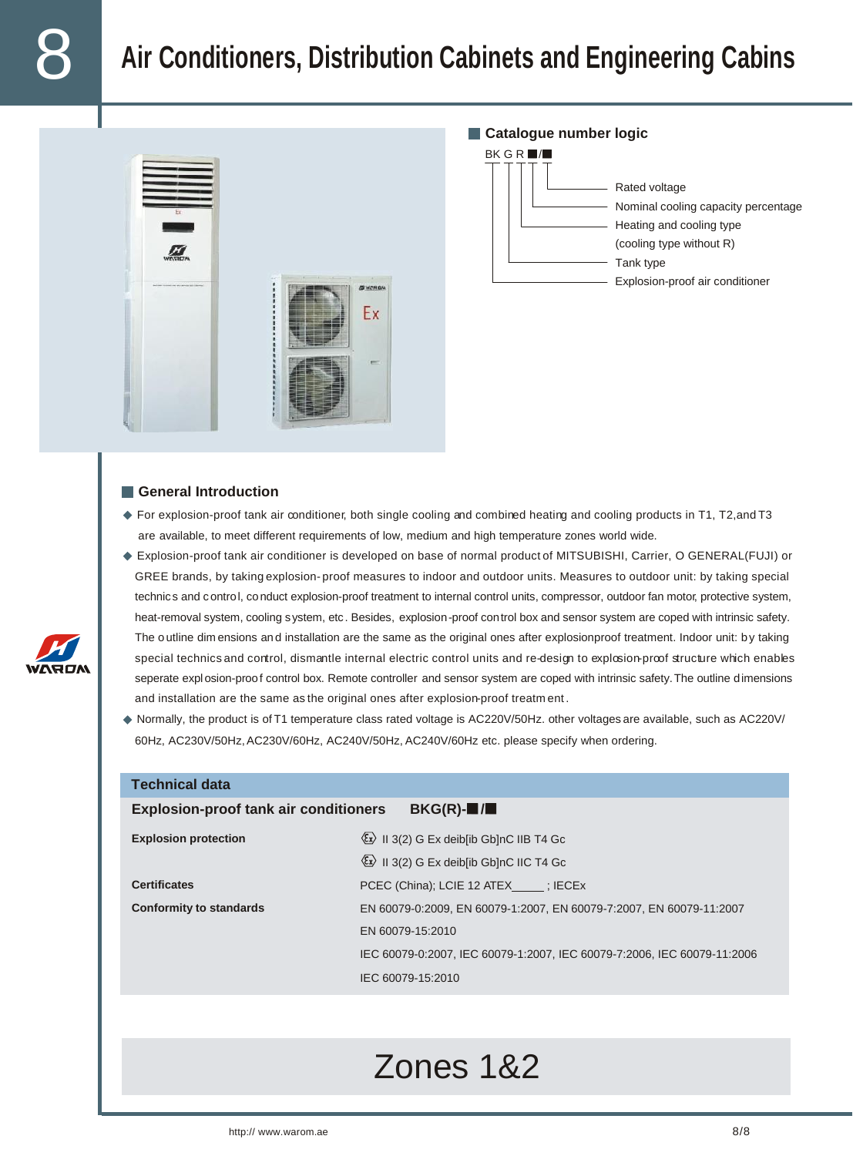# 8 **Air Conditioners, Distribution Cabinets and Engineering Cabins**



#### **Catalogue number logic**



#### **General Introduction**

**Technical data**

- For explosion-proof tank air conditioner, both single cooling and combined heating and cooling products in T1, T2,and T3 are available, to meet different requirements of low, medium and high temperature zones world wide.
- Explosion-proof tank air conditioner is developed on base of normal product of MITSUBISHI, Carrier, O GENERAL(FUJI) or GREE brands, by taking explosion- proof measures to indoor and outdoor units. Measures to outdoor unit: by taking special technic s and c ontrol, conduct explosion-proof treatment to internal control units, compressor, outdoor fan motor, protective system, heat-removal system, cooling system, etc . Besides, explosion-proof control box and sensor system are coped with intrinsic safety. The o utline dim ensions and installation are the same as the original ones after explosionproof treatment. Indoor unit: by taking special technics and control, dismantle internal electric control units and re-design to explosion-proof structure which enables seperate explosion-proof control box. Remote controller and sensor system are coped with intrinsic safety.The outline dimensions and installation are the same as the original ones after explosion-proof treatm ent .
- Normally, the product is of T1 temperature class rated voltage is AC220V/50Hz. other voltages are available, such as AC220V/ 60Hz, AC230V/50Hz,AC230V/60Hz, AC240V/50Hz, AC240V/60Hz etc. please specify when ordering.

| н сонниман мака                                                                    |                                                                         |  |  |  |
|------------------------------------------------------------------------------------|-------------------------------------------------------------------------|--|--|--|
| <b>Explosion-proof tank air conditioners</b><br>$BKG(R)-\blacksquare/\blacksquare$ |                                                                         |  |  |  |
| <b>Explosion protection</b>                                                        | $\langle x \rangle$ II 3(2) G Ex deib[ib Gb]nC IIB T4 Gc                |  |  |  |
|                                                                                    | $\langle x \rangle$ II 3(2) G Ex deiblib GblnC IIC T4 Gc                |  |  |  |
| <b>Certificates</b>                                                                | PCEC (China); LCIE 12 ATEX ; IECEX                                      |  |  |  |
| <b>Conformity to standards</b>                                                     | EN 60079-0:2009, EN 60079-1:2007, EN 60079-7:2007, EN 60079-11:2007     |  |  |  |
|                                                                                    | EN 60079-15:2010                                                        |  |  |  |
|                                                                                    | IEC 60079-0:2007. IEC 60079-1:2007. IEC 60079-7:2006. IEC 60079-11:2006 |  |  |  |
|                                                                                    | IEC 60079-15:2010                                                       |  |  |  |
|                                                                                    |                                                                         |  |  |  |

## Zones 1&2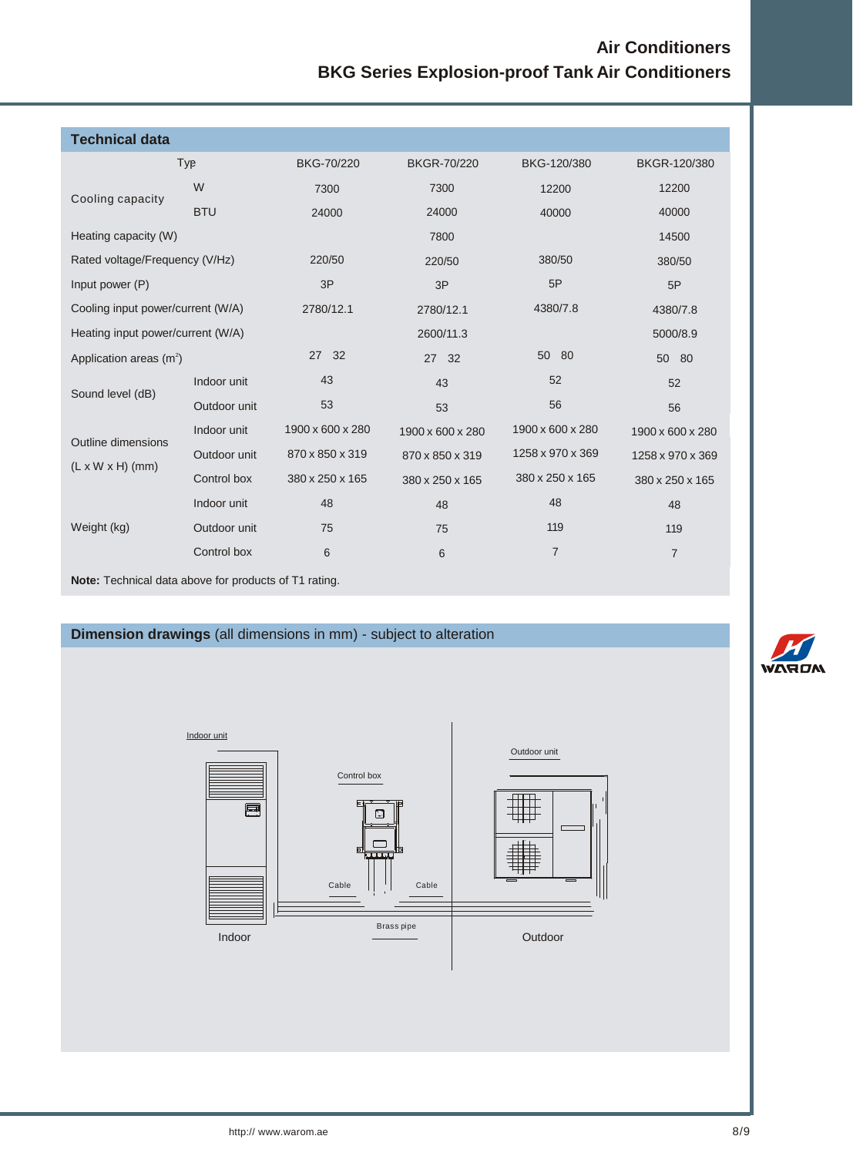### **Air Conditioners BKG Series Explosion-proof Tank Air Conditioners**

| <b>Technical data</b>                                        |              |                  |                    |                  |                  |  |  |
|--------------------------------------------------------------|--------------|------------------|--------------------|------------------|------------------|--|--|
|                                                              | Typ          | BKG-70/220       | <b>BKGR-70/220</b> | BKG-120/380      | BKGR-120/380     |  |  |
| Cooling capacity                                             | W            | 7300             | 7300               | 12200            | 12200            |  |  |
|                                                              | <b>BTU</b>   | 24000            | 24000              | 40000            | 40000            |  |  |
| Heating capacity (W)                                         |              |                  | 7800               |                  | 14500            |  |  |
| Rated voltage/Frequency (V/Hz)                               |              | 220/50           | 220/50             | 380/50           | 380/50           |  |  |
| Input power (P)                                              |              | 3P               | 3P                 | 5P               | 5P               |  |  |
| Cooling input power/current (W/A)                            |              | 2780/12.1        | 2780/12.1          | 4380/7.8         | 4380/7.8         |  |  |
| Heating input power/current (W/A)                            |              |                  | 2600/11.3          |                  | 5000/8.9         |  |  |
| Application areas $(m^2)$                                    |              | 27 32            | 27<br>32           | 50 80            | 50<br>-80        |  |  |
| Sound level (dB)                                             | Indoor unit  | 43               | 43                 | 52               | 52               |  |  |
|                                                              | Outdoor unit | 53               | 53                 | 56               | 56               |  |  |
| Outline dimensions<br>$(L \times W \times H)$ (mm)           | Indoor unit  | 1900 x 600 x 280 | 1900 x 600 x 280   | 1900 x 600 x 280 | 1900 x 600 x 280 |  |  |
|                                                              | Outdoor unit | 870 x 850 x 319  | 870 x 850 x 319    | 1258 x 970 x 369 | 1258 x 970 x 369 |  |  |
|                                                              | Control box  | 380 x 250 x 165  | 380 x 250 x 165    | 380 x 250 x 165  | 380 x 250 x 165  |  |  |
| Weight (kg)                                                  | Indoor unit  | 48               | 48                 | 48               | 48               |  |  |
|                                                              | Outdoor unit | 75               | 75                 | 119              | 119              |  |  |
|                                                              | Control box  | 6                | 6                  | $\overline{7}$   | $\overline{7}$   |  |  |
| <b>Note:</b> Technical data above for products of T1 rating. |              |                  |                    |                  |                  |  |  |

### **Dimension drawings** (all dimensions in mm) - subject to alteration



**WARD**